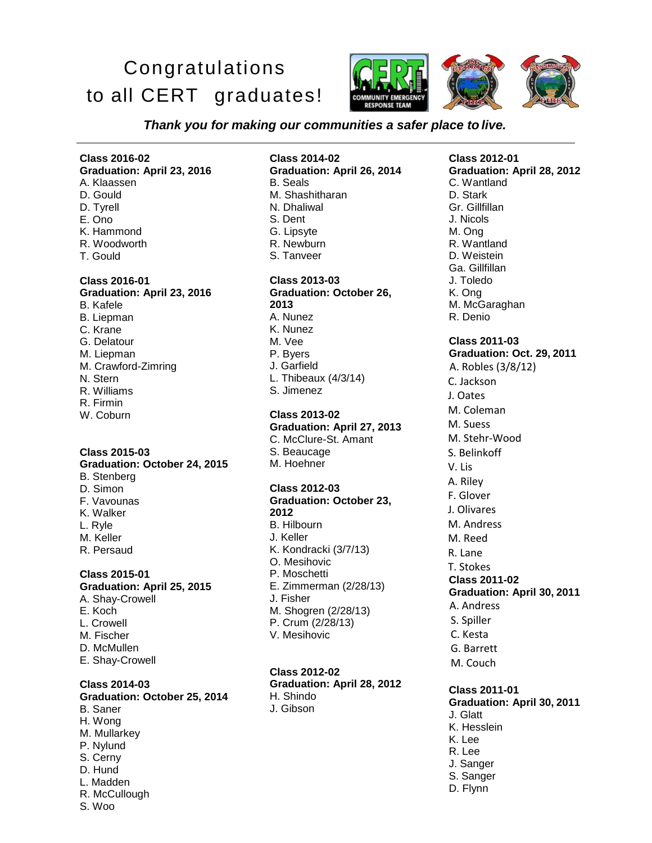# Congratulations to all CERT graduates!



## *Thank you for making our communities a safer place to live.*

## **Class 2016-02**

# **Graduation: April 23, 2016**

- A. Klaassen
- D. Gould
- D. Tyrell
- E. Ono
- K. Hammond
- R. Woodworth
- T. Gould

## **Class 2016-01**

## **Graduation: April 23, 2016**

- B. Kafele B. Liepman C. Krane G. Delatour M. Liepman M. Crawford-Zimring N. Stern R. Williams R. Firmin
- W. Coburn

#### **Class 2015-03 Graduation: October 24, 2015**

- B. Stenberg
- D. Simon
- F. Vavounas
- K. Walker
- L. Ryle
- M. Keller
- R. Persaud

## **Class 2015-01**

#### **Graduation: April 25, 2015** A. Shay-Crowell

- 
- E. Koch
- L. Crowell
- M. Fischer
- D. McMullen
- E. Shay-Crowell

#### **Class 2014-03 Graduation: October 25, 2014** B. Saner H. Wong M. Mullarkey P. Nylund S. Cerny D. Hund

- L. Madden
- R. McCullough
- S. Woo

## **Class 2014-02**

- **Graduation: April 26, 2014** B. Seals M. Shashitharan N. Dhaliwal S. Dent G. Lipsyte R. Newburn S. Tanveer **Class 2013-03 Graduation: October 26, 2013** A. Nunez K. Nunez M. Vee P. Byers
- J. Garfield L. Thibeaux (4/3/14) S. Jimenez

#### **Class 2013-02**

**Graduation: April 27, 2013** C. McClure-St. Amant S. Beaucage M. Hoehner

## **Class 2012-03**

#### **Graduation: October 23, 2012** B. Hilbourn J. Keller

K. Kondracki (3/7/13) O. Mesihovic P. Moschetti E. Zimmerman (2/28/13) J. Fisher M. Shogren (2/28/13) P. Crum (2/28/13) V. Mesihovic

#### **Class 2012-02 Graduation: April 28, 2012** H. Shindo J. Gibson

#### **Class 2012-01 Graduation: April 28, 2012** C. Wantland D. Stark Gr. Gillfillan J. Nicols M. Ong R. Wantland D. Weistein Ga. Gillfillan J. Toledo K. Ong

M. McGaraghan R. Denio

## **Class 2011-03**

**Graduation: Oct. 29, 2011** A. Robles (3/8/12) C. Jackson J. Oates M. Coleman M. Suess M. Stehr-Wood S. Belinkoff V. Lis A. Riley F. Glover J. Olivares M. Andress M. Reed R. Lane T. Stokes **Class 2011-02 Graduation: April 30, 2011** A. Andress S. Spiller C. Kesta G. Barrett M. Couch **Class 2011-01 Graduation: April 30, 2011** J. Glatt K. Hesslein K. Lee R. Lee J. Sanger S. Sanger

D. Flynn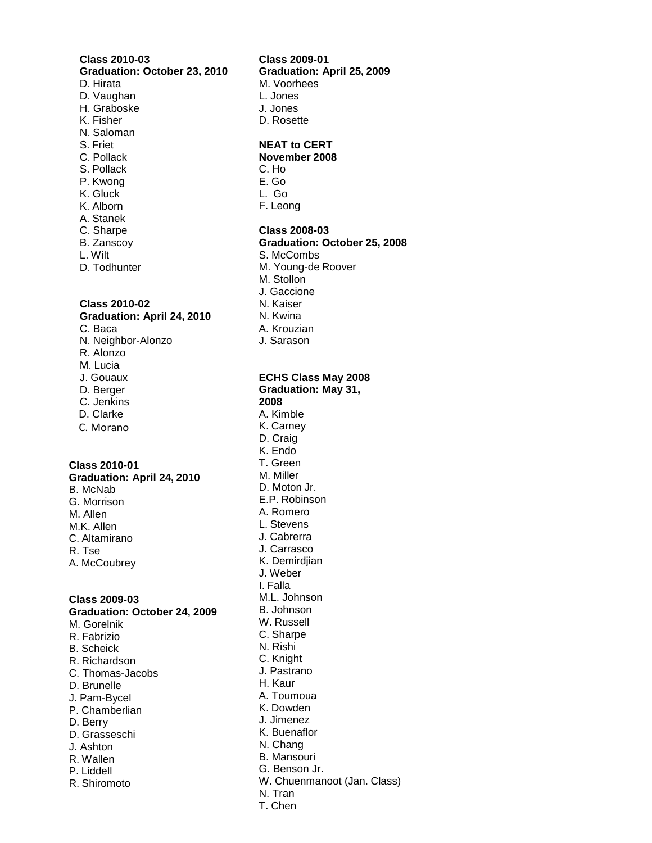#### **Class 2010-03 Graduation: October 23, 2010**

- D. Hirata
- D. Vaughan
- H. Graboske
- K. Fisher
- N. Saloman
- S. Friet
- C. Pollack
- S. Pollack
- P. Kwong
- K. Gluck
- K. Alborn
- 
- A. Stanek
- C. Sharpe
- B. Zanscoy
- L. Wilt
- D. Todhunter

## **Class 2010-02 Graduation: April 24, 2010**

- C. Baca
- N. Neighbor-Alonzo
- R. Alonzo
- M. Lucia
- J. Gouaux
- D. Berger
- C. Jenkins
- D. Clarke
- C. Morano

## **Class 2010-01**

#### **Graduation: April 24, 2010**

- B. McNab G. Morrison M. Allen M.K. Allen C. Altamirano
- R. Tse
- A. McCoubrey

## **Class 2009-03**

**Graduation: October 24, 2009** M. Gorelnik R. Fabrizio B. Scheick R. Richardson C. Thomas-Jacobs D. Brunelle J. Pam-Bycel P. Chamberlian D. Berry D. Grasseschi J. Ashton R. Wallen P. Liddell

R. Shiromoto

#### **Class 2009-01 Graduation: April 25, 2009** M. Voorhees L. Jones J. Jones D. Rosette

#### **NEAT to CERT November 2008**

# C. Ho

- E. Go
- L. Go
- F. Leong

## **Class 2008-03**

#### **Graduation: October 25, 2008**

- S. McCombs M. Young-de Roover
- M. Stollon
- J. Gaccione
- N. Kaiser
- N. Kwina
- A. Krouzian
- J. Sarason

# **ECHS Class May 2008**

# **Graduation: May 31,**

- **2008**
- A. Kimble K. Carney D. Craig
- K. Endo T. Green
- M. Miller
- D. Moton Jr.
- E.P. Robinson
- A. Romero
- L. Stevens
- J. Cabrerra
- J. Carrasco
- K. Demirdjian
- J. Weber
- I. Falla
- M.L. Johnson
- B. Johnson
- W. Russell C. Sharpe
- N. Rishi
- C. Knight
- J. Pastrano
- H. Kaur
- A. Toumoua
- K. Dowden
- - J. Jimenez
	- K. Buenaflor
- N. Chang
- B. Mansouri
- G. Benson Jr.
- W. Chuenmanoot (Jan. Class)
- N. Tran
- T. Chen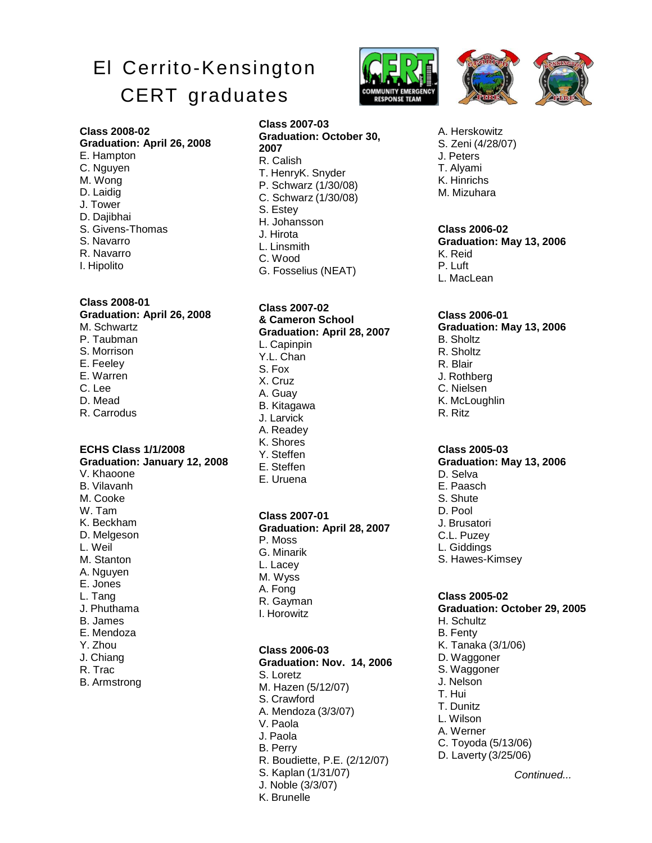# El Cerrito-Kensington CERT graduates







A. Herskowitz S. Zeni (4/28/07) J. Peters T. Alyami K. Hinrichs M. Mizuhara

## **Class 2006-02**

**Graduation: May 13, 2006** K. Reid P. Luft L. MacLean

#### **Class 2006-01**

**Graduation: May 13, 2006** B. Sholtz R. Sholtz R. Blair J. Rothberg C. Nielsen K. McLoughlin R. Ritz

## **Class 2005-03**

**Graduation: May 13, 2006** D. Selva E. Paasch S. Shute D. Pool J. Brusatori C.L. Puzey L. Giddings S. Hawes-Kimsey

#### **Class 2005-02 Graduation: October 29, 2005**

H. Schultz B. Fenty K. Tanaka (3/1/06) D. Waggoner S. Waggoner J. Nelson T. Hui T. Dunitz L. Wilson A. Werner C. Toyoda (5/13/06) D. Laverty (3/25/06)

*Continued...*

#### **Class 2008-02 Graduation: April 26, 2008**

- E. Hampton
- C. Nguyen
- M. Wong
- D. Laidig
- J. Tower
- D. Dajibhai
- S. Givens-Thomas
- S. Navarro
- R. Navarro
- I. Hipolito

# **Class 2008-01**

**Graduation: April 26, 2008**

- M. Schwartz
- P. Taubman
- S. Morrison
- E. Feeley
- E. Warren
- C. Lee
- D. Mead
- R. Carrodus

#### **ECHS Class 1/1/2008 Graduation: January 12, 2008**

- V. Khaoone B. Vilavanh M. Cooke
- W. Tam
- K. Beckham
- D. Melgeson
- L. Weil
- M. Stanton
- A. Nguyen
- E. Jones
- L. Tang
- J. Phuthama
- B. James
- E. Mendoza
- Y. Zhou
- J. Chiang
- R. Trac
- B. Armstrong

**Graduation: October 30, 2007** R. Calish T. HenryK. Snyder P. Schwarz (1/30/08) C. Schwarz (1/30/08) S. Estey H. Johansson J. Hirota L. Linsmith C. Wood G. Fosselius (NEAT) **Class 2007-02 & Cameron School Graduation: April 28, 2007**

**Class 2007-03**

L. Capinpin Y.L. Chan S. Fox X. Cruz A. Guay B. Kitagawa J. Larvick A. Readey K. Shores Y. Steffen E. Steffen E. Uruena

## **Class 2007-01**

**Graduation: April 28, 2007** P. Moss G. Minarik L. Lacey M. Wyss A. Fong R. Gayman I. Horowitz

# **Class 2006-03**

**Graduation: Nov. 14, 2006** S. Loretz M. Hazen (5/12/07) S. Crawford A. Mendoza (3/3/07) V. Paola J. Paola B. Perry R. Boudiette, P.E. (2/12/07) S. Kaplan (1/31/07) J. Noble (3/3/07) K. Brunelle